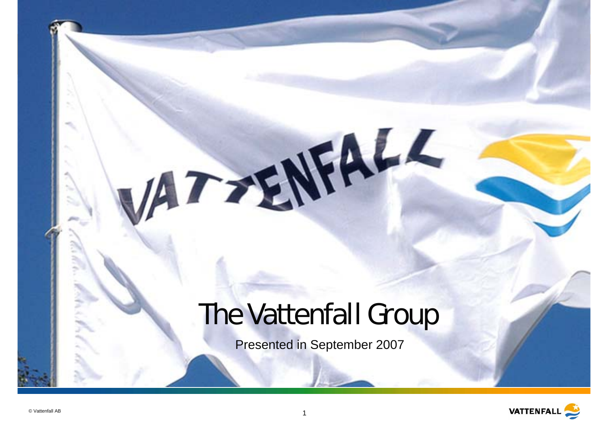## The Vattenfall Group

VATTENFALL

Presented in September 2007

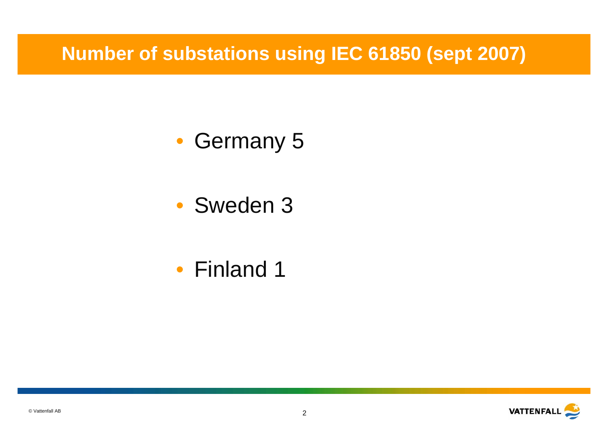**Number of substations using IEC 61850 (sept 2007)**

- Germany 5
- Sweden 3
- Finland 1

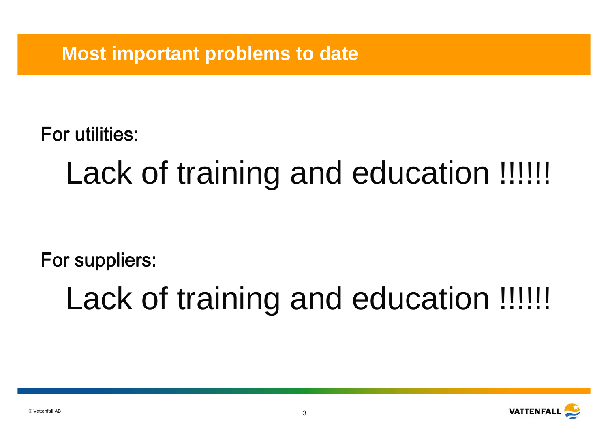**Most important problems to date**

For utilities:

# Lack of training and education !!!!!!

For suppliers:

Lack of training and education !!!!!!

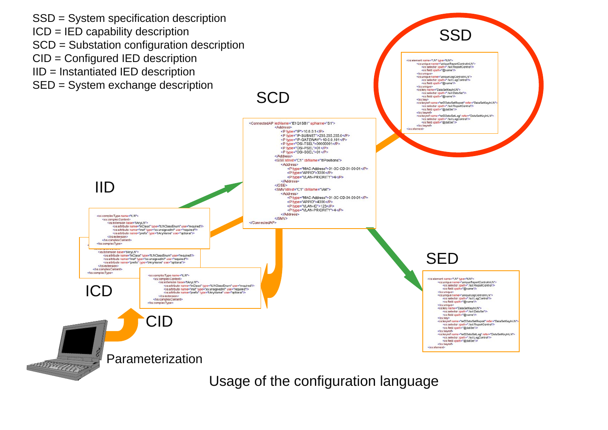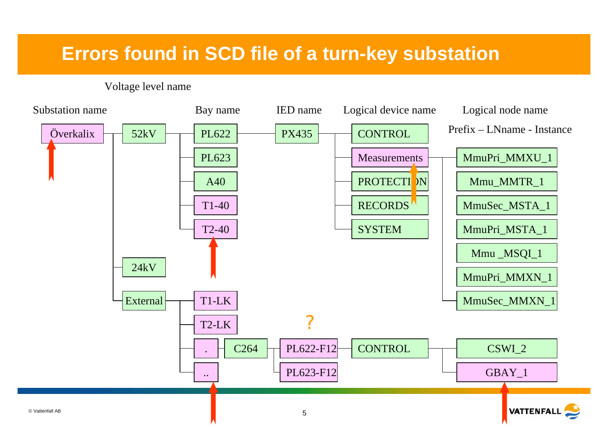#### **Errors found in SCD file of a turn-key substation**

#### Voltage level name